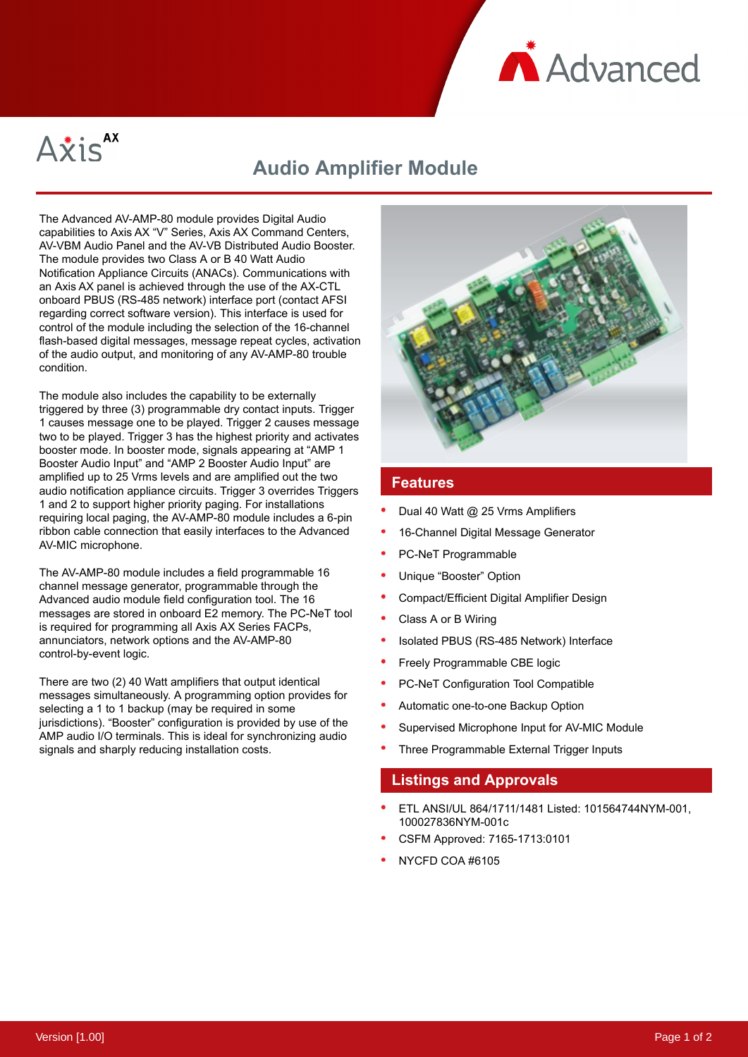



# **Audio Amplifier Module**

The Advanced AV-AMP-80 module provides Digital Audio capabilities to Axis AX "V" Series, Axis AX Command Centers, AV-VBM Audio Panel and the AV-VB Distributed Audio Booster. The module provides two Class A or B 40 Watt Audio Notification Appliance Circuits (ANACs). Communications with an Axis AX panel is achieved through the use of the AX-CTL onboard PBUS (RS-485 network) interface port (contact AFSI regarding correct software version). This interface is used for control of the module including the selection of the 16-channel flash-based digital messages, message repeat cycles, activation of the audio output, and monitoring of any AV-AMP-80 trouble condition.

The module also includes the capability to be externally triggered by three (3) programmable dry contact inputs. Trigger 1 causes message one to be played. Trigger 2 causes message two to be played. Trigger 3 has the highest priority and activates booster mode. In booster mode, signals appearing at "AMP 1 Booster Audio Input" and "AMP 2 Booster Audio Input" are amplified up to 25 Vrms levels and are amplified out the two audio notification appliance circuits. Trigger 3 overrides Triggers 1 and 2 to support higher priority paging. For installations requiring local paging, the AV-AMP-80 module includes a 6-pin ribbon cable connection that easily interfaces to the Advanced AV-MIC microphone.

The AV-AMP-80 module includes a field programmable 16 channel message generator, programmable through the Advanced audio module field configuration tool. The 16 messages are stored in onboard E2 memory. The PC-NeT tool is required for programming all Axis AX Series FACPs, annunciators, network options and the AV-AMP-80 control-by-event logic.

There are two (2) 40 Watt amplifiers that output identical messages simultaneously. A programming option provides for selecting a 1 to 1 backup (may be required in some jurisdictions). "Booster" configuration is provided by use of the AMP audio I/O terminals. This is ideal for synchronizing audio signals and sharply reducing installation costs.



### **Features**

- Dual 40 Watt @ 25 Vrms Amplifiers
- 16-Channel Digital Message Generator
- PC-NeT Programmable
- Unique "Booster" Option
- Compact/Efficient Digital Amplifier Design
- Class A or B Wiring
- Isolated PBUS (RS-485 Network) Interface
- Freely Programmable CBE logic
- PC-NeT Configuration Tool Compatible
- Automatic one-to-one Backup Option
- Supervised Microphone Input for AV-MIC Module
- Three Programmable External Trigger Inputs

### **Listings and Approvals**

- ETL ANSI/UL 864/1711/1481 Listed: 101564744NYM-001, 100027836NYM-001c
- CSFM Approved: 7165-1713:0101
- NYCFD COA #6105